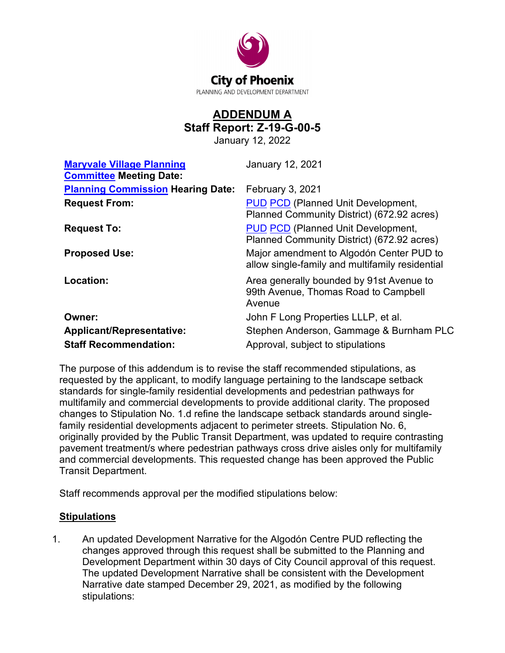

## **ADDENDUM A Staff Report: Z-19-G-00-5**

January 12, 2022

| <b>Maryvale Village Planning</b><br><b>Committee Meeting Date:</b> | January 12, 2021                                                                            |
|--------------------------------------------------------------------|---------------------------------------------------------------------------------------------|
| <b>Planning Commission Hearing Date:</b>                           | February 3, 2021                                                                            |
| <b>Request From:</b>                                               | <b>PUD PCD (Planned Unit Development,</b><br>Planned Community District) (672.92 acres)     |
| <b>Request To:</b>                                                 | <b>PUD PCD (Planned Unit Development,</b><br>Planned Community District) (672.92 acres)     |
| <b>Proposed Use:</b>                                               | Major amendment to Algodón Center PUD to<br>allow single-family and multifamily residential |
| Location:                                                          | Area generally bounded by 91st Avenue to<br>99th Avenue, Thomas Road to Campbell<br>Avenue  |
| Owner:                                                             | John F Long Properties LLLP, et al.                                                         |
| <b>Applicant/Representative:</b>                                   | Stephen Anderson, Gammage & Burnham PLC                                                     |
| <b>Staff Recommendation:</b>                                       | Approval, subject to stipulations                                                           |

The purpose of this addendum is to revise the staff recommended stipulations, as requested by the applicant, to modify language pertaining to the landscape setback standards for single-family residential developments and pedestrian pathways for multifamily and commercial developments to provide additional clarity. The proposed changes to Stipulation No. 1.d refine the landscape setback standards around singlefamily residential developments adjacent to perimeter streets. Stipulation No. 6, originally provided by the Public Transit Department, was updated to require contrasting pavement treatment/s where pedestrian pathways cross drive aisles only for multifamily and commercial developments. This requested change has been approved the Public Transit Department.

Staff recommends approval per the modified stipulations below:

## **Stipulations**

1. An updated Development Narrative for the Algodón Centre PUD reflecting the changes approved through this request shall be submitted to the Planning and Development Department within 30 days of City Council approval of this request. The updated Development Narrative shall be consistent with the Development Narrative date stamped December 29, 2021, as modified by the following stipulations: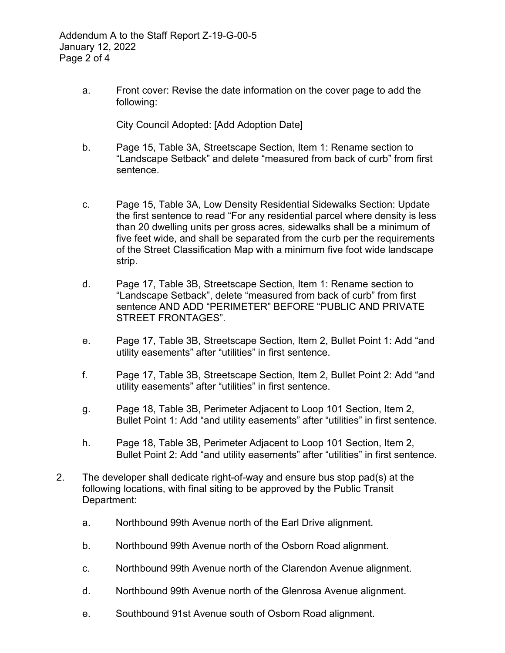a. Front cover: Revise the date information on the cover page to add the following:

City Council Adopted: [Add Adoption Date]

- b. Page 15, Table 3A, Streetscape Section, Item 1: Rename section to "Landscape Setback" and delete "measured from back of curb" from first sentence.
- c. Page 15, Table 3A, Low Density Residential Sidewalks Section: Update the first sentence to read "For any residential parcel where density is less than 20 dwelling units per gross acres, sidewalks shall be a minimum of five feet wide, and shall be separated from the curb per the requirements of the Street Classification Map with a minimum five foot wide landscape strip.
- d. Page 17, Table 3B, Streetscape Section, Item 1: Rename section to "Landscape Setback", delete "measured from back of curb" from first sentence AND ADD "PERIMETER" BEFORE "PUBLIC AND PRIVATE STREET FRONTAGES".
- e. Page 17, Table 3B, Streetscape Section, Item 2, Bullet Point 1: Add "and utility easements" after "utilities" in first sentence.
- f. Page 17, Table 3B, Streetscape Section, Item 2, Bullet Point 2: Add "and utility easements" after "utilities" in first sentence.
- g. Page 18, Table 3B, Perimeter Adjacent to Loop 101 Section, Item 2, Bullet Point 1: Add "and utility easements" after "utilities" in first sentence.
- h. Page 18, Table 3B, Perimeter Adjacent to Loop 101 Section, Item 2, Bullet Point 2: Add "and utility easements" after "utilities" in first sentence.
- 2. The developer shall dedicate right-of-way and ensure bus stop pad(s) at the following locations, with final siting to be approved by the Public Transit Department:
	- a. Northbound 99th Avenue north of the Earl Drive alignment.
	- b. Northbound 99th Avenue north of the Osborn Road alignment.
	- c. Northbound 99th Avenue north of the Clarendon Avenue alignment.
	- d. Northbound 99th Avenue north of the Glenrosa Avenue alignment.
	- e. Southbound 91st Avenue south of Osborn Road alignment.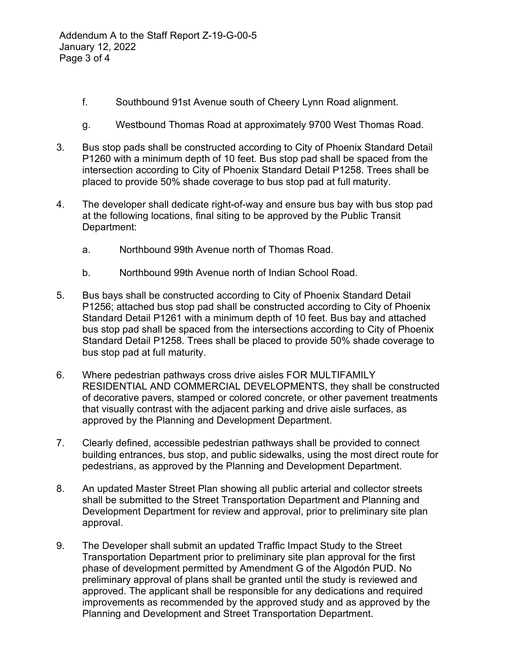- f. Southbound 91st Avenue south of Cheery Lynn Road alignment.
- g. Westbound Thomas Road at approximately 9700 West Thomas Road.
- 3. Bus stop pads shall be constructed according to City of Phoenix Standard Detail P1260 with a minimum depth of 10 feet. Bus stop pad shall be spaced from the intersection according to City of Phoenix Standard Detail P1258. Trees shall be placed to provide 50% shade coverage to bus stop pad at full maturity.
- 4. The developer shall dedicate right-of-way and ensure bus bay with bus stop pad at the following locations, final siting to be approved by the Public Transit Department:
	- a. Northbound 99th Avenue north of Thomas Road.
	- b. Northbound 99th Avenue north of Indian School Road.
- 5. Bus bays shall be constructed according to City of Phoenix Standard Detail P1256; attached bus stop pad shall be constructed according to City of Phoenix Standard Detail P1261 with a minimum depth of 10 feet. Bus bay and attached bus stop pad shall be spaced from the intersections according to City of Phoenix Standard Detail P1258. Trees shall be placed to provide 50% shade coverage to bus stop pad at full maturity.
- 6. Where pedestrian pathways cross drive aisles FOR MULTIFAMILY RESIDENTIAL AND COMMERCIAL DEVELOPMENTS, they shall be constructed of decorative pavers, stamped or colored concrete, or other pavement treatments that visually contrast with the adjacent parking and drive aisle surfaces, as approved by the Planning and Development Department.
- 7. Clearly defined, accessible pedestrian pathways shall be provided to connect building entrances, bus stop, and public sidewalks, using the most direct route for pedestrians, as approved by the Planning and Development Department.
- 8. An updated Master Street Plan showing all public arterial and collector streets shall be submitted to the Street Transportation Department and Planning and Development Department for review and approval, prior to preliminary site plan approval.
- 9. The Developer shall submit an updated Traffic Impact Study to the Street Transportation Department prior to preliminary site plan approval for the first phase of development permitted by Amendment G of the Algodón PUD. No preliminary approval of plans shall be granted until the study is reviewed and approved. The applicant shall be responsible for any dedications and required improvements as recommended by the approved study and as approved by the Planning and Development and Street Transportation Department.